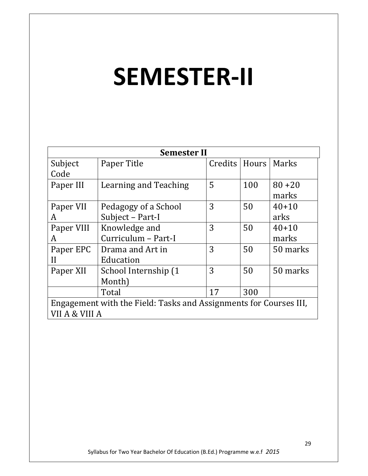# SEMESTER-II

| <b>Semester II</b>                                                |                       |                 |     |           |
|-------------------------------------------------------------------|-----------------------|-----------------|-----|-----------|
| Subject                                                           | Paper Title           | Credits   Hours |     | Marks     |
| Code                                                              |                       |                 |     |           |
| Paper III                                                         | Learning and Teaching | 5               | 100 | $80 + 20$ |
|                                                                   |                       |                 |     | marks     |
| Paper VII                                                         | Pedagogy of a School  | 3               | 50  | $40+10$   |
| A                                                                 | Subject - Part-I      |                 |     | arks      |
| Paper VIII                                                        | Knowledge and         | 3               | 50  | $40 + 10$ |
| A                                                                 | Curriculum - Part-I   |                 |     | marks     |
| Paper EPC                                                         | Drama and Art in      | 3               | 50  | 50 marks  |
| H                                                                 | Education             |                 |     |           |
| Paper XII                                                         | School Internship (1  | 3               | 50  | 50 marks  |
|                                                                   | Month)                |                 |     |           |
|                                                                   | Total                 | 17              | 300 |           |
| Engagement with the Field: Tasks and Assignments for Courses III, |                       |                 |     |           |
| VII A & VIII A                                                    |                       |                 |     |           |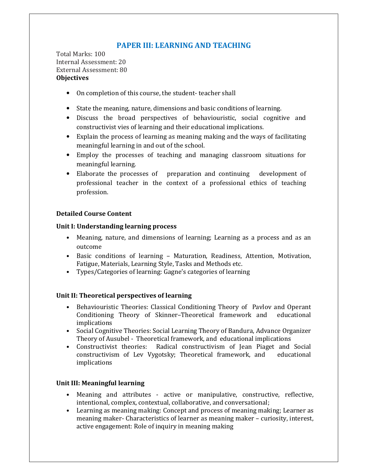# PAPER III: LEARNING AND TEACHING

Total Marks: 100 Internal Assessment: 20 External Assessment: 80 **Objectives** 

- On completion of this course, the student- teacher shall
- State the meaning, nature, dimensions and basic conditions of learning.
- Discuss the broad perspectives of behaviouristic, social cognitive and constructivist vies of learning and their educational implications.
- Explain the process of learning as meaning making and the ways of facilitating meaningful learning in and out of the school.
- Employ the processes of teaching and managing classroom situations for meaningful learning.
- Elaborate the processes of preparation and continuing development of professional teacher in the context of a professional ethics of teaching profession.

#### Detailed Course Content

#### Unit I: Understanding learning process

- Meaning, nature, and dimensions of learning; Learning as a process and as an outcome
- Basic conditions of learning Maturation, Readiness, Attention, Motivation, Fatigue, Materials, Learning Style, Tasks and Methods etc.
- Types/Categories of learning: Gagne's categories of learning

#### Unit II: Theoretical perspectives of learning

- Behaviouristic Theories: Classical Conditioning Theory of Pavlov and Operant Conditioning Theory of Skinner–Theoretical framework and educational implications
- Social Cognitive Theories: Social Learning Theory of Bandura, Advance Organizer Theory of Ausubel - Theoretical framework, and educational implications
- Constructivist theories: Radical constructivism of Jean Piaget and Social constructivism of Lev Vygotsky; Theoretical framework, and educational implications

#### Unit III: Meaningful learning

- Meaning and attributes active or manipulative, constructive, reflective, intentional, complex, contextual, collaborative, and conversational;
- Learning as meaning making: Concept and process of meaning making; Learner as meaning maker- Characteristics of learner as meaning maker – curiosity, interest, active engagement: Role of inquiry in meaning making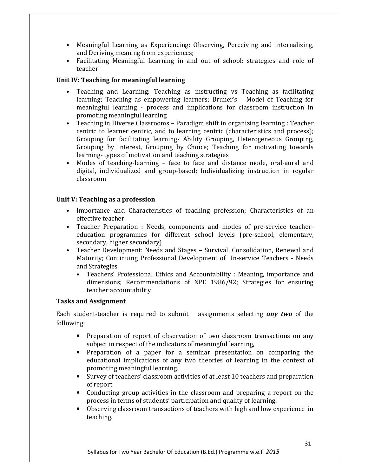- Meaningful Learning as Experiencing: Observing, Perceiving and internalizing, and Deriving meaning from experiences;
- Facilitating Meaningful Learning in and out of school: strategies and role of teacher

#### Unit IV: Teaching for meaningful learning

- Teaching and Learning: Teaching as instructing vs Teaching as facilitating learning; Teaching as empowering learners; Bruner's Model of Teaching for meaningful learning - process and implications for classroom instruction in promoting meaningful learning
- Teaching in Diverse Classrooms Paradigm shift in organizing learning : Teacher centric to learner centric, and to learning centric (characteristics and process); Grouping for facilitating learning- Ability Grouping, Heterogeneous Grouping, Grouping by interest, Grouping by Choice; Teaching for motivating towards learning- types of motivation and teaching strategies
- Modes of teaching-learning face to face and distance mode, oral-aural and digital, individualized and group-based; Individualizing instruction in regular classroom

#### Unit V: Teaching as a profession

- Importance and Characteristics of teaching profession; Characteristics of an effective teacher
- Teacher Preparation : Needs, components and modes of pre-service teachereducation programmes for different school levels (pre-school, elementary, secondary, higher secondary)
- Teacher Development: Needs and Stages Survival, Consolidation, Renewal and Maturity; Continuing Professional Development of In-service Teachers - Needs and Strategies
	- Teachers' Professional Ethics and Accountability : Meaning, importance and dimensions; Recommendations of NPE 1986/92; Strategies for ensuring teacher accountability

#### Tasks and Assignment

Each student-teacher is required to submit assignments selecting any two of the following:

- Preparation of report of observation of two classroom transactions on any subject in respect of the indicators of meaningful learning,
- Preparation of a paper for a seminar presentation on comparing the educational implications of any two theories of learning in the context of promoting meaningful learning.
- Survey of teachers' classroom activities of at least 10 teachers and preparation of report.
- Conducting group activities in the classroom and preparing a report on the process in terms of students' participation and quality of learning.
- Observing classroom transactions of teachers with high and low experience in teaching.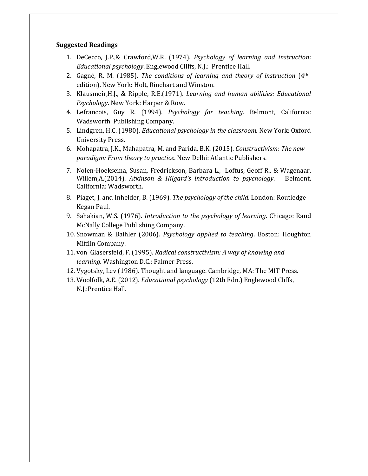#### Suggested Readings

- 1. DeCecco, J.P.,& Crawford,W.R. (1974). Psychology of learning and instruction: Educational psychology. Englewood Cliffs, N.J.: Prentice Hall.
- 2. Gagné, R. M. (1985). The conditions of learning and theory of instruction  $(4<sup>th</sup>$ edition). New York: Holt, Rinehart and Winston.
- 3. Klausmeir,H.J., & Ripple, R.E.(1971). Learning and human abilities: Educational Psychology. New York: Harper & Row.
- 4. Lefrancois, Guy R. (1994). Psychology for teaching. Belmont, California: Wadsworth Publishing Company.
- 5. Lindgren, H.C. (1980). Educational psychology in the classroom. New York: Oxford University Press.
- 6. Mohapatra, J.K., Mahapatra, M. and Parida, B.K. (2015). Constructivism: The new paradigm: From theory to practice. New Delhi: Atlantic Publishers.
- 7. Nolen-Hoeksema, Susan, Fredrickson, Barbara L., Loftus, Geoff R., & Wagenaar, Willem, A. (2014). Atkinson & Hilgard's introduction to psychology. Belmont, California: Wadsworth.
- 8. Piaget, J. and Inhelder, B. (1969). The psychology of the child. London: Routledge Kegan Paul.
- 9. Sahakian, W.S. (1976). Introduction to the psychology of learning. Chicago: Rand McNally College Publishing Company.
- 10. Snowman & Baihler (2006). Psychology applied to teaching. Boston: Houghton Mifflin Company.
- 11. von Glasersfeld, F. (1995). Radical constructivism: A way of knowing and learning. Washington D.C.: Falmer Press.
- 12. Vygotsky, Lev (1986). Thought and language. Cambridge, MA: The MIT Press.
- 13. Woolfolk, A.E. (2012). Educational psychology (12th Edn.) Englewood Cliffs, N.J.:Prentice Hall.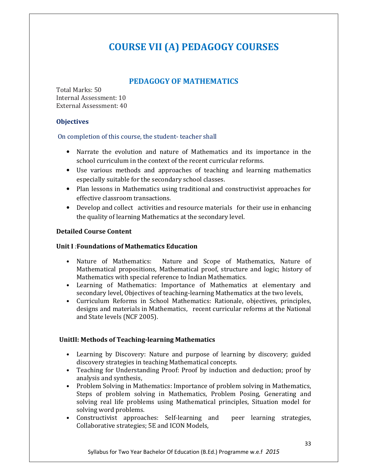# COURSE VII (A) PEDAGOGY COURSES

## PEDAGOGY OF MATHEMATICS

Total Marks: 50 Internal Assessment: 10 External Assessment: 40

#### **Objectives**

#### On completion of this course, the student- teacher shall

- Narrate the evolution and nature of Mathematics and its importance in the school curriculum in the context of the recent curricular reforms.
- Use various methods and approaches of teaching and learning mathematics especially suitable for the secondary school classes.
- Plan lessons in Mathematics using traditional and constructivist approaches for effective classroom transactions.
- Develop and collect activities and resource materials for their use in enhancing the quality of learning Mathematics at the secondary level.

#### Detailed Course Content

#### Unit I :Foundations of Mathematics Education

- Nature of Mathematics: Nature and Scope of Mathematics, Nature of Mathematical propositions, Mathematical proof, structure and logic; history of Mathematics with special reference to Indian Mathematics.
- Learning of Mathematics: Importance of Mathematics at elementary and secondary level, Objectives of teaching-learning Mathematics at the two levels,
- Curriculum Reforms in School Mathematics: Rationale, objectives, principles, designs and materials in Mathematics, recent curricular reforms at the National and State levels (NCF 2005).

#### UnitII: Methods of Teaching-learning Mathematics

- Learning by Discovery: Nature and purpose of learning by discovery; guided discovery strategies in teaching Mathematical concepts.
- Teaching for Understanding Proof: Proof by induction and deduction; proof by analysis and synthesis,
- Problem Solving in Mathematics: Importance of problem solving in Mathematics, Steps of problem solving in Mathematics, Problem Posing, Generating and solving real life problems using Mathematical principles, Situation model for solving word problems.
- Constructivist approaches: Self-learning and peer learning strategies, Collaborative strategies; 5E and ICON Models,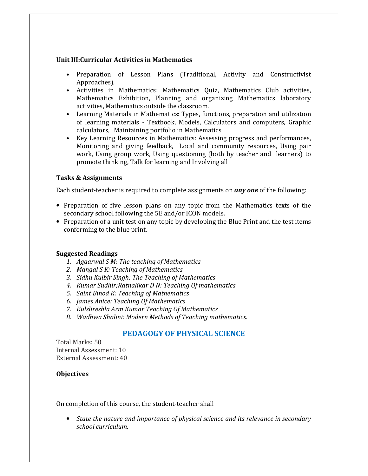#### Unit III:Curricular Activities in Mathematics

- Preparation of Lesson Plans (Traditional, Activity and Constructivist Approaches),
- Activities in Mathematics: Mathematics Quiz, Mathematics Club activities, Mathematics Exhibition, Planning and organizing Mathematics laboratory activities, Mathematics outside the classroom.
- Learning Materials in Mathematics: Types, functions, preparation and utilization of learning materials - Textbook, Models, Calculators and computers, Graphic calculators, Maintaining portfolio in Mathematics
- Key Learning Resources in Mathematics: Assessing progress and performances, Monitoring and giving feedback, Local and community resources, Using pair work, Using group work, Using questioning (both by teacher and learners) to promote thinking, Talk for learning and Involving all

#### Tasks & Assignments

Each student-teacher is required to complete assignments on *any one* of the following:

- Preparation of five lesson plans on any topic from the Mathematics texts of the secondary school following the 5E and/or ICON models.
- Preparation of a unit test on any topic by developing the Blue Print and the test items conforming to the blue print.

#### Suggested Readings

- 1. Aggarwal S M: The teaching of Mathematics
- 2. Mangal S K: Teaching of Mathematics
- 3. Sidhu Kulbir Singh: The Teaching of Mathematics
- 4. Kumar Sudhir;Ratnalikar D N: Teaching Of mathematics
- 5. Saint Binod K: Teaching of Mathematics
- 6. James Anice: Teaching Of Mathematics
- 7. Kulslireshla Arm Kumar Teaching Of Mathematics
- 8. Wadhwa Shalini: Modern Methods of Teaching mathematics.

### PEDAGOGY OF PHYSICAL SCIENCE

Total Marks: 50 Internal Assessment: 10 External Assessment: 40

#### **Objectives**

On completion of this course, the student-teacher shall

• State the nature and importance of physical science and its relevance in secondary school curriculum.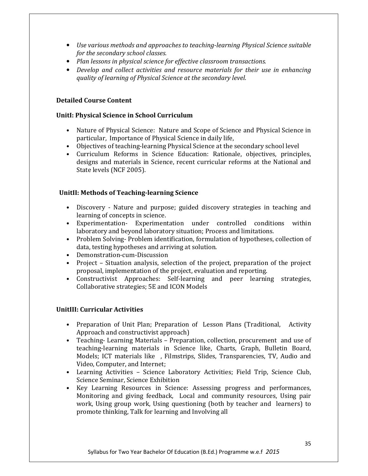- Use various methods and approaches to teaching-learning Physical Science suitable for the secondary school classes.
- Plan lessons in physical science for effective classroom transactions.
- Develop and collect activities and resource materials for their use in enhancing quality of learning of Physical Science at the secondary level.

#### Detailed Course Content

#### UnitI: Physical Science in School Curriculum

- Nature of Physical Science: Nature and Scope of Science and Physical Science in particular, Importance of Physical Science in daily life,
- Objectives of teaching-learning Physical Science at the secondary school level
- Curriculum Reforms in Science Education: Rationale, objectives, principles, designs and materials in Science, recent curricular reforms at the National and State levels (NCF 2005).

#### UnitII: Methods of Teaching-learning Science

- Discovery Nature and purpose; guided discovery strategies in teaching and learning of concepts in science.
- Experimentation- Experimentation under controlled conditions within laboratory and beyond laboratory situation; Process and limitations.
- Problem Solving- Problem identification, formulation of hypotheses, collection of data, testing hypotheses and arriving at solution.
- Demonstration-cum-Discussion
- Project Situation analysis, selection of the project, preparation of the project proposal, implementation of the project, evaluation and reporting.
- Constructivist Approaches: Self-learning and peer learning strategies, Collaborative strategies; 5E and ICON Models

#### UnitIII: Curricular Activities

- Preparation of Unit Plan; Preparation of Lesson Plans (Traditional, Activity Approach and constructivist approach)
- Teaching- Learning Materials Preparation, collection, procurement and use of teaching-learning materials in Science like, Charts, Graph, Bulletin Board, Models; ICT materials like , Filmstrips, Slides, Transparencies, TV, Audio and Video, Computer, and Internet;
- Learning Activities Science Laboratory Activities; Field Trip, Science Club, Science Seminar, Science Exhibition
- Key Learning Resources in Science: Assessing progress and performances, Monitoring and giving feedback, Local and community resources, Using pair work, Using group work, Using questioning (both by teacher and learners) to promote thinking, Talk for learning and Involving all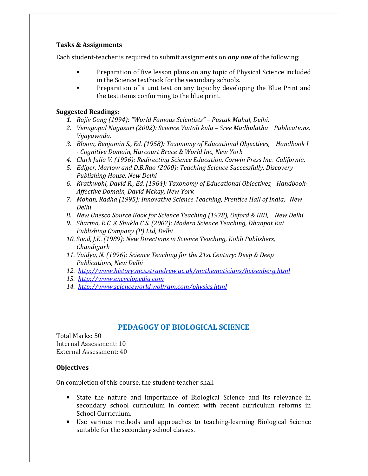Each student-teacher is required to submit assignments on **any one** of the following:

- - Preparation of five lesson plans on any topic of Physical Science included in the Science textbook for the secondary schools.
- - Preparation of a unit test on any topic by developing the Blue Print and the test items conforming to the blue print.

#### Suggested Readings:

- 1. Rajiv Gang (1994): "World Famous Scientists" Pustak Mahal, Delhi.
- 2. Venugopal Nagasuri (2002): Science Vaitali kulu Sree Madhulatha Publications, Vijayawada.
- 3. Bloom, Benjamin S., Ed. (1958): Taxonomy of Educational Objectives, Handbook I - Cognitive Domain, Harcourt Brace & World Inc, New York
- 4. Clark Julia V. (1996): Redirecting Science Education. Corwin Press Inc. California.
- 5. Ediger, Marlow and D.B.Rao (2000): Teaching Science Successfully, Discovery Publishing House, New Delhi
- 6. Krathwohl, David R., Ed. (1964): Taxonomy of Educational Objectives, Handbook-Affective Domain, David Mckay, New York
- 7. Mohan, Radha (1995): Innovative Science Teaching, Prentice Hall of India, New Delhi
- 8. New Unesco Source Book for Science Teaching (1978), Oxford & IBH, New Delhi
- 9. Sharma, R.C. & Shukla C.S. (2002): Modern Science Teaching, Dhanpat Rai Publishing Company (P) Ltd, Delhi
- 10. Sood, J.K. (1989): New Directions in Science Teaching, Kohli Publishers, Chandigarh
- 11. Vaidya, N. (1996): Science Teaching for the 21st Century: Deep & Deep Publications, New Delhi
- 12. http://www.history.mcs.strandrew.ac.uk/mathematicians/heisenberg.html
- 13. http://www.encyclopedia.com
- 14. http://www.scienceworld.wolfram.com/physics.html

# PEDAGOGY OF BIOLOGICAL SCIENCE

Total Marks: 50 Internal Assessment: 10 External Assessment: 40

#### **Objectives**

On completion of this course, the student-teacher shall

- State the nature and importance of Biological Science and its relevance in secondary school curriculum in context with recent curriculum reforms in School Curriculum.
- Use various methods and approaches to teaching-learning Biological Science suitable for the secondary school classes.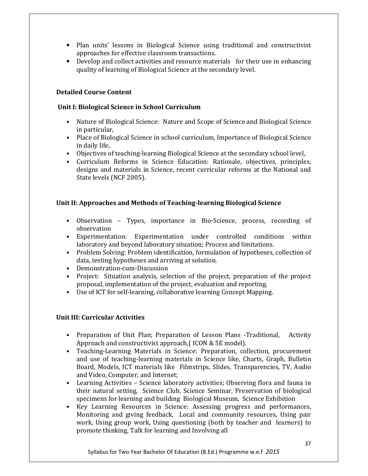- Plan units' lessons in Biological Science using traditional and constructivist approaches for effective classroom transactions.
- Develop and collect activities and resource materials for their use in enhancing quality of learning of Biological Science at the secondary level.

#### Detailed Course Content

#### Unit I: Biological Science in School Curriculum

- Nature of Biological Science: Nature and Scope of Science and Biological Science in particular,
- Place of Biological Science in school curriculum, Importance of Biological Science in daily life,
- Objectives of teaching-learning Biological Science at the secondary school level,
- Curriculum Reforms in Science Education: Rationale, objectives, principles, designs and materials in Science, recent curricular reforms at the National and State levels (NCF 2005).

#### Unit II: Approaches and Methods of Teaching-learning Biological Science

- Observation Types, importance in Bio-Science, process, recording of observation
- Experimentation: Experimentation under controlled conditions within laboratory and beyond laboratory situation; Process and limitations.
- Problem Solving: Problem identification, formulation of hypotheses, collection of data, testing hypotheses and arriving at solution.
- Demonstration-cum-Discussion
- Project: Situation analysis, selection of the project, preparation of the project proposal, implementation of the project, evaluation and reporting.
- Use of ICT for self-learning, collaborative learning Concept Mapping.

### Unit III: Curricular Activities

- Preparation of Unit Plan; Preparation of Lesson Plans -Traditional, Activity Approach and constructivist approach,( ICON & 5E model).
- Teaching-Learning Materials in Science: Preparation, collection, procurement and use of teaching-learning materials in Science like, Charts, Graph, Bulletin Board, Models, ICT materials like Filmstrips, Slides, Transparencies, TV, Audio and Video, Computer, and Internet;
- Learning Activities Science laboratory activities; Observing flora and fauna in their natural setting, Science Club, Science Seminar, Preservation of biological specimens for learning and building Biological Museum, Science Exhibition
- Key Learning Resources in Science: Assessing progress and performances, Monitoring and giving feedback, Local and community resources, Using pair work, Using group work, Using questioning (both by teacher and learners) to promote thinking, Talk for learning and Involving all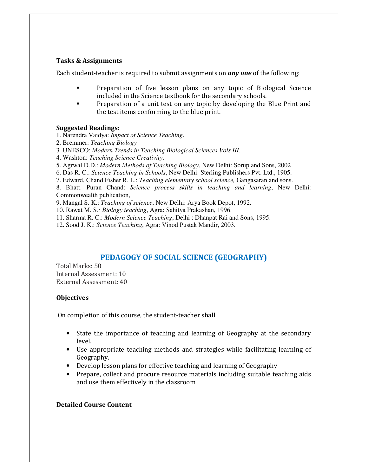Each student-teacher is required to submit assignments on *any one* of the following:

- - Preparation of five lesson plans on any topic of Biological Science included in the Science textbook for the secondary schools.
- - Preparation of a unit test on any topic by developing the Blue Print and the test items conforming to the blue print.

#### Suggested Readings:

- 1. Narendra Vaidya: *Impact of Science Teaching*.
- 2. Bremmer: *Teaching Biology*
- 3. UNESCO: *Modern Trends in Teaching Biological Sciences Vols III*.
- 4. Washton: *Teaching Science Creativity*.
- 5. Agrwal D.D.: *Modern Methods of Teaching Biology*, New Delhi: Sorup and Sons, 2002
- 6. Das R. C.: *Science Teaching in Schools*, New Delhi: Sterling Publishers Pvt. Ltd., 1905.
- 7. Edward, Chand Fisher R. L.: *Teaching elementary school science,* Gangasaran and sons.

8. Bhatt. Puran Chand: *Science process skills in teaching and learning*, New Delhi: Commonwealth publication,

9. Mangal S. K.: *Teaching of science*, New Delhi: Arya Book Depot, 1992.

- 10. Rawat M. S*.: Biology teaching*, Agra: Sahitya Prakashan, 1996.
- 11. Sharma R. C.: *Modern Science Teaching*, Delhi : Dhanpat Rai and Sons, 1995.
- 12. Sood J. K.: *Science Teaching*, Agra: Vinod Pustak Mandir, 2003.

### PEDAGOGY OF SOCIAL SCIENCE (GEOGRAPHY)

Total Marks: 50 Internal Assessment: 10 External Assessment: 40

#### **Objectives**

On completion of this course, the student-teacher shall

- State the importance of teaching and learning of Geography at the secondary level.
- Use appropriate teaching methods and strategies while facilitating learning of Geography.
- Develop lesson plans for effective teaching and learning of Geography
- Prepare, collect and procure resource materials including suitable teaching aids and use them effectively in the classroom

#### Detailed Course Content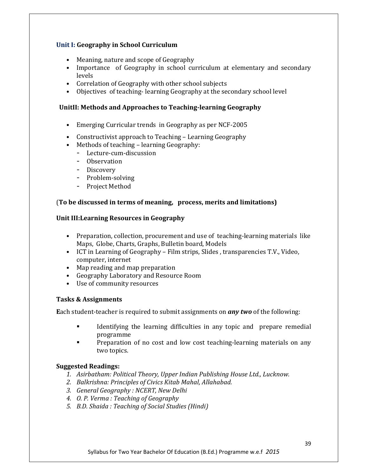#### Unit I: Geography in School Curriculum

- Meaning, nature and scope of Geography
- Importance of Geography in school curriculum at elementary and secondary levels
- Correlation of Geography with other school subjects
- Objectives of teaching- learning Geography at the secondary school level

#### UnitII: Methods and Approaches to Teaching-learning Geography

- Emerging Curricular trends in Geography as per NCF-2005
- Constructivist approach to Teaching Learning Geography
- Methods of teaching learning Geography:
	- Lecture-cum-discussion
	- Observation
	- Discovery
	- Problem-solving
	- Project Method

#### (To be discussed in terms of meaning, process, merits and limitations)

#### Unit III:Learning Resources in Geography

- Preparation, collection, procurement and use of teaching-learning materials like Maps, Globe, Charts, Graphs, Bulletin board, Models
- ICT in Learning of Geography Film strips, Slides , transparencies T.V., Video, computer, internet
- Map reading and map preparation
- Geography Laboratory and Resource Room
- Use of community resources

#### Tasks & Assignments

**Each student-teacher is required to submit assignments on any two of the following:** 

- - Identifying the learning difficulties in any topic and prepare remedial programme
- - Preparation of no cost and low cost teaching-learning materials on any two topics.

#### Suggested Readings:

- 1. Asirbatham: Political Theory, Upper Indian Publishing House Ltd., Lucknow.
- 2. Balkrishna: Principles of Civics Kitab Mahal, Allahabad.
- 3. General Geography : NCERT, New Delhi
- 4. O. P. Verma : Teaching of Geography
- 5. B.D. Shaida : Teaching of Social Studies (Hindi)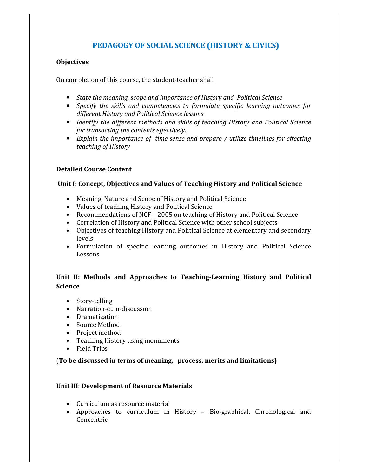# PEDAGOGY OF SOCIAL SCIENCE (HISTORY & CIVICS)

#### **Objectives**

On completion of this course, the student-teacher shall

- State the meaning, scope and importance of History and Political Science
- Specify the skills and competencies to formulate specific learning outcomes for different History and Political Science lessons
- Identify the different methods and skills of teaching History and Political Science for transacting the contents effectively.
- Explain the importance of time sense and prepare / utilize timelines for effecting teaching of History

### Detailed Course Content

#### Unit I: Concept, Objectives and Values of Teaching History and Political Science

- Meaning, Nature and Scope of History and Political Science
- Values of teaching History and Political Science
- Recommendations of NCF 2005 on teaching of History and Political Science
- Correlation of History and Political Science with other school subjects
- Objectives of teaching History and Political Science at elementary and secondary levels
- Formulation of specific learning outcomes in History and Political Science Lessons

## Unit II: Methods and Approaches to Teaching-Learning History and Political **Science**

- Story-telling
- Narration-cum-discussion
- Dramatization
- Source Method
- Project method
- Teaching History using monuments
- Field Trips

#### (To be discussed in terms of meaning, process, merits and limitations)

#### Unit III: Development of Resource Materials

- Curriculum as resource material
- Approaches to curriculum in History Bio-graphical, Chronological and Concentric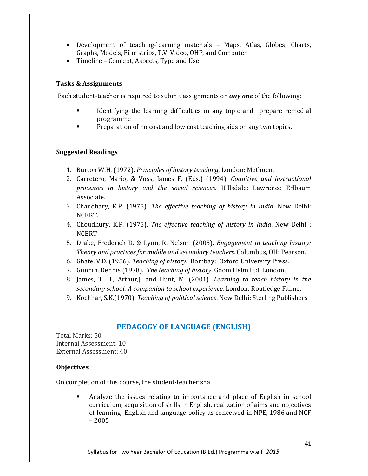- Development of teaching-learning materials Maps, Atlas, Globes, Charts, Graphs, Models, Film strips, T.V. Video, OHP, and Computer
- Timeline Concept, Aspects, Type and Use

Each student-teacher is required to submit assignments on *any one* of the following:

- - Identifying the learning difficulties in any topic and prepare remedial programme
- -Preparation of no cost and low cost teaching aids on any two topics.

#### Suggested Readings

- 1. Burton W.H. (1972). Principles of history teaching, London: Methuen.
- 2. Carretero, Mario, & Voss, James F. (Eds.) (1994). Cognitive and instructional processes in history and the social sciences. Hillsdale: Lawrence Erlbaum Associate.
- 3. Chaudhary, K.P. (1975). The effective teaching of history in India. New Delhi: NCERT.
- 4. Choudhury, K.P. (1975). The effective teaching of history in India. New Delhi : NCERT
- 5. Drake, Frederick D. & Lynn, R. Nelson (2005). Engagement in teaching history: Theory and practices for middle and secondary teachers. Columbus, OH: Pearson.
- 6. Ghate, V.D. (1956). Teaching of history. Bombay: Oxford University Press.
- 7. Gunnin, Dennis (1978). The teaching of history. Goom Helm Ltd. London,
- 8. James, T. H., Arthur,J. and Hunt, M. (2001). Learning to teach history in the secondary school: A companion to school experience. London: Routledge Falme.
- 9. Kochhar, S.K.(1970). Teaching of political science. New Delhi: Sterling Publishers

# PEDAGOGY OF LANGUAGE (ENGLISH)

Total Marks: 50 Internal Assessment: 10 External Assessment: 40

### **Objectives**

On completion of this course, the student-teacher shall

- Analyze the issues relating to importance and place of English in school curriculum, acquisition of skills in English, realization of aims and objectives of learning English and language policy as conceived in NPE, 1986 and NCF – 2005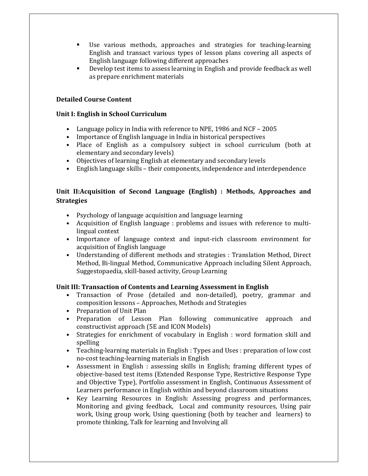- - Use various methods, approaches and strategies for teaching-learning English and transact various types of lesson plans covering all aspects of English language following different approaches
- - Develop test items to assess learning in English and provide feedback as well as prepare enrichment materials

#### Detailed Course Content

#### Unit I: English in School Curriculum

- Language policy in India with reference to NPE, 1986 and NCF 2005
- Importance of English language in India in historical perspectives
- Place of English as a compulsory subject in school curriculum (both at elementary and secondary levels)
- Objectives of learning English at elementary and secondary levels
- English language skills their components, independence and interdependence

### Unit II:Acquisition of Second Language (English) : Methods, Approaches and **Strategies**

- Psychology of language acquisition and language learning
- Acquisition of English language : problems and issues with reference to multilingual context
- Importance of language context and input-rich classroom environment for acquisition of English language
- Understanding of different methods and strategies : Translation Method, Direct Method, Bi-lingual Method, Communicative Approach including Silent Approach, Suggestopaedia, skill-based activity, Group Learning

#### Unit III: Transaction of Contents and Learning Assessment in English

- Transaction of Prose (detailed and non-detailed), poetry, grammar and composition lessons – Approaches, Methods and Strategies
- Preparation of Unit Plan
- Preparation of Lesson Plan following communicative approach and constructivist approach (5E and ICON Models)
- Strategies for enrichment of vocabulary in English : word formation skill and spelling
- Teaching-learning materials in English : Types and Uses : preparation of low cost no-cost teaching-learning materials in English
- Assessment in English : assessing skills in English; framing different types of objective-based test items (Extended Response Type, Restrictive Response Type and Objective Type), Portfolio assessment in English, Continuous Assessment of Learners performance in English within and beyond classroom situations
- Key Learning Resources in English: Assessing progress and performances, Monitoring and giving feedback, Local and community resources, Using pair work, Using group work, Using questioning (both by teacher and learners) to promote thinking, Talk for learning and Involving all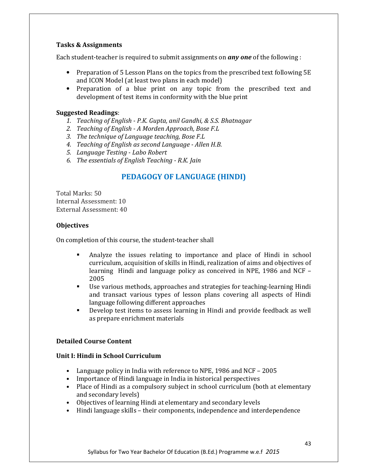Each student-teacher is required to submit assignments on **any one** of the following :

- Preparation of 5 Lesson Plans on the topics from the prescribed text following 5E and ICON Model (at least two plans in each model)
- Preparation of a blue print on any topic from the prescribed text and development of test items in conformity with the blue print

#### Suggested Readings:

- 1. Teaching of English P.K. Gupta, anil Gandhi, & S.S. Bhatnagar
- 2. Teaching of English A Morden Approach, Bose F.L
- 3. The technique of Language teaching, Bose F.L
- 4. Teaching of English as second Language Allen H.B.
- 5. Language Testing Labo Robert
- 6. The essentials of English Teaching R.K. Jain

## PEDAGOGY OF LANGUAGE (HINDI)

Total Marks: 50 Internal Assessment: 10 External Assessment: 40

#### **Objectives**

On completion of this course, the student-teacher shall

- - Analyze the issues relating to importance and place of Hindi in school curriculum, acquisition of skills in Hindi, realization of aims and objectives of learning Hindi and language policy as conceived in NPE, 1986 and NCF – 2005
- - Use various methods, approaches and strategies for teaching-learning Hindi and transact various types of lesson plans covering all aspects of Hindi language following different approaches
- - Develop test items to assess learning in Hindi and provide feedback as well as prepare enrichment materials

#### Detailed Course Content

#### Unit I: Hindi in School Curriculum

- Language policy in India with reference to NPE, 1986 and NCF 2005
- Importance of Hindi language in India in historical perspectives
- Place of Hindi as a compulsory subject in school curriculum (both at elementary and secondary levels)
- Objectives of learning Hindi at elementary and secondary levels
- Hindi language skills their components, independence and interdependence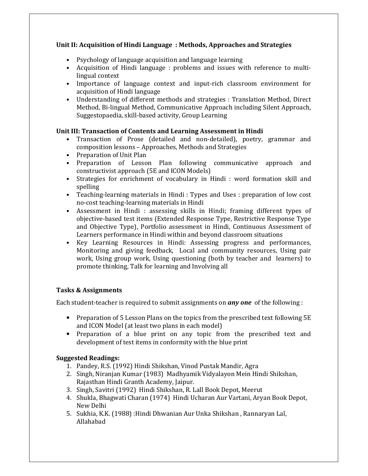### Unit II: Acquisition of Hindi Language : Methods, Approaches and Strategies

- Psychology of language acquisition and language learning
- Acquisition of Hindi language : problems and issues with reference to multilingual context
- Importance of language context and input-rich classroom environment for acquisition of Hindi language
- Understanding of different methods and strategies : Translation Method, Direct Method, Bi-lingual Method, Communicative Approach including Silent Approach, Suggestopaedia, skill-based activity, Group Learning

### Unit III: Transaction of Contents and Learning Assessment in Hindi

- Transaction of Prose (detailed and non-detailed), poetry, grammar and composition lessons – Approaches, Methods and Strategies
- Preparation of Unit Plan
- Preparation of Lesson Plan following communicative approach and constructivist approach (5E and ICON Models)
- Strategies for enrichment of vocabulary in Hindi : word formation skill and spelling
- Teaching-learning materials in Hindi : Types and Uses : preparation of low cost no-cost teaching-learning materials in Hindi
- Assessment in Hindi : assessing skills in Hindi; framing different types of objective-based test items (Extended Response Type, Restrictive Response Type and Objective Type), Portfolio assessment in Hindi, Continuous Assessment of Learners performance in Hindi within and beyond classroom situations
- Key Learning Resources in Hindi: Assessing progress and performances, Monitoring and giving feedback, Local and community resources, Using pair work, Using group work, Using questioning (both by teacher and learners) to promote thinking, Talk for learning and Involving all

### Tasks & Assignments

Each student-teacher is required to submit assignments on **any one** of the following :

- Preparation of 5 Lesson Plans on the topics from the prescribed text following 5E and ICON Model (at least two plans in each model)
- Preparation of a blue print on any topic from the prescribed text and development of test items in conformity with the blue print

### Suggested Readings:

- 1. Pandey, R.S. (1992) Hindi Shikshan, Vinod Pustak Mandir, Agra
- 2. Singh, Niranjan Kumar (1983) Madhyamik Vidyalayon Mein Hindi Shikshan, Rajasthan Hindi Granth Academy, Jaipur.
- 3. Singh, Savitri (1992) Hindi Shikshan, R. Lall Book Depot, Meerut
- 4. Shukla, Bhagwati Charan (1974) Hindi Ucharan Aur Vartani, Aryan Book Depot, New Delhi
- 5. Sukhia, K.K. (1988) :Hindi Dhwanian Aur Unka Shikshan , Rannaryan Lal, Allahabad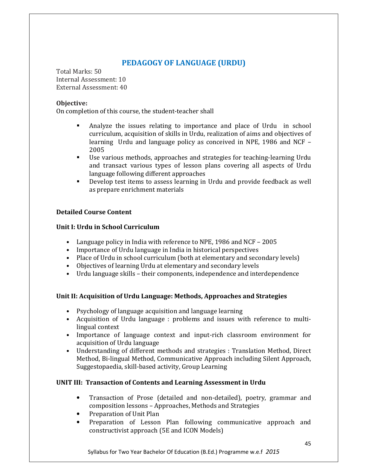# PEDAGOGY OF LANGUAGE (URDU)

Total Marks: 50 Internal Assessment: 10 External Assessment: 40

#### Objective:

On completion of this course, the student-teacher shall

- - Analyze the issues relating to importance and place of Urdu in school curriculum, acquisition of skills in Urdu, realization of aims and objectives of learning Urdu and language policy as conceived in NPE, 1986 and NCF – 2005
- - Use various methods, approaches and strategies for teaching-learning Urdu and transact various types of lesson plans covering all aspects of Urdu language following different approaches
- - Develop test items to assess learning in Urdu and provide feedback as well as prepare enrichment materials

#### Detailed Course Content

#### Unit I: Urdu in School Curriculum

- Language policy in India with reference to NPE, 1986 and NCF 2005
- Importance of Urdu language in India in historical perspectives
- Place of Urdu in school curriculum (both at elementary and secondary levels)
- Objectives of learning Urdu at elementary and secondary levels
- Urdu language skills their components, independence and interdependence

#### Unit II: Acquisition of Urdu Language: Methods, Approaches and Strategies

- Psychology of language acquisition and language learning
- Acquisition of Urdu language : problems and issues with reference to multilingual context
- Importance of language context and input-rich classroom environment for acquisition of Urdu language
- Understanding of different methods and strategies : Translation Method, Direct Method, Bi-lingual Method, Communicative Approach including Silent Approach, Suggestopaedia, skill-based activity, Group Learning

#### UNIT III: Transaction of Contents and Learning Assessment in Urdu

- Transaction of Prose (detailed and non-detailed), poetry, grammar and composition lessons – Approaches, Methods and Strategies
- Preparation of Unit Plan
- Preparation of Lesson Plan following communicative approach and constructivist approach (5E and ICON Models)

Syllabus for Two Year Bachelor Of Education (B.Ed.) Programme w.e.f 2015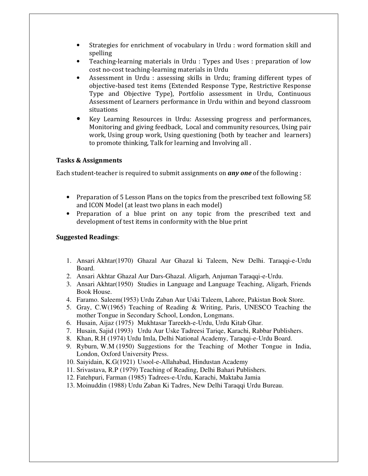- Strategies for enrichment of vocabulary in Urdu : word formation skill and spelling
- Teaching-learning materials in Urdu : Types and Uses : preparation of low cost no-cost teaching-learning materials in Urdu
- Assessment in Urdu : assessing skills in Urdu; framing different types of objective-based test items (Extended Response Type, Restrictive Response Type and Objective Type), Portfolio assessment in Urdu, Continuous Assessment of Learners performance in Urdu within and beyond classroom situations
- Key Learning Resources in Urdu: Assessing progress and performances, Monitoring and giving feedback, Local and community resources, Using pair work, Using group work, Using questioning (both by teacher and learners) to promote thinking, Talk for learning and Involving all .

Each student-teacher is required to submit assignments on **any one** of the following :

- Preparation of 5 Lesson Plans on the topics from the prescribed text following 5E and ICON Model (at least two plans in each model)
- Preparation of a blue print on any topic from the prescribed text and development of test items in conformity with the blue print

#### Suggested Readings:

- 1. Ansari Akhtar(1970) Ghazal Aur Ghazal ki Taleem, New Delhi. Taraqqi-e-Urdu Board.
- 2. Ansari Akhtar Ghazal Aur Dars-Ghazal. Aligarh, Anjuman Taraqqi-e-Urdu.
- 3. Ansari Akhtar(1950) Studies in Language and Language Teaching, Aligarh, Friends Book House.
- 4. Faramo. Saleem(1953) Urdu Zaban Aur Uski Taleem, Lahore, Pakistan Book Store.
- 5. Gray, C.W(1965) Teaching of Reading & Writing, Paris, UNESCO Teaching the mother Tongue in Secondary School, London, Longmans.
- 6. Husain, Aijaz (1975) Mukhtasar Tareekh-e-Urdu, Urdu Kitab Ghar.
- 7. Husain, Sajid (1993) Urdu Aur Uske Tadreesi Tariqe, Karachi, Rabbar Publishers.
- 8. Khan, R.H (1974) Urdu Imla, Delhi National Academy, Taraqqi-e-Urdu Board.
- 9. Ryburn, W.M (1950) Suggestions for the Teaching of Mother Tongue in India, London, Oxford University Press.
- 10. Saiyidain, K.G(1921) Usool-e-Allahabad, Hindustan Academy
- 11. Srivastava, R.P (1979) Teaching of Reading, Delhi Bahari Publishers.
- 12. Fatehpuri, Farman (1985) Tadrees-e-Urdu, Karachi, Maktaba Jamia
- 13. Moinuddin (1988) Urdu Zaban Ki Tadres, New Delhi Taraqqi Urdu Bureau.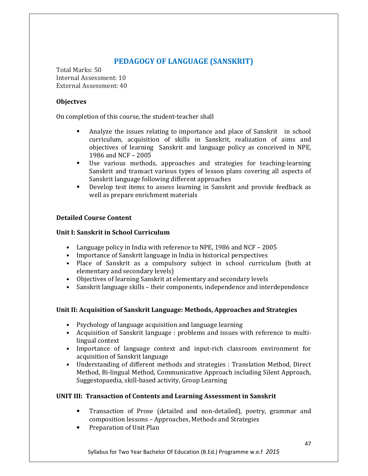# PEDAGOGY OF LANGUAGE (SANSKRIT)

Total Marks: 50 Internal Assessment: 10 External Assessment: 40

#### **Objectves**

On completion of this course, the student-teacher shall

- - Analyze the issues relating to importance and place of Sanskrit in school curriculum, acquisition of skills in Sanskrit, realization of aims and objectives of learning Sanskrit and language policy as conceived in NPE, 1986 and NCF – 2005
- - Use various methods, approaches and strategies for teaching-learning Sanskrit and transact various types of lesson plans covering all aspects of Sanskrit language following different approaches
- - Develop test items to assess learning in Sanskrit and provide feedback as well as prepare enrichment materials

### Detailed Course Content

#### Unit I: Sanskrit in School Curriculum

- Language policy in India with reference to NPE, 1986 and NCF 2005
- Importance of Sanskrit language in India in historical perspectives
- Place of Sanskrit as a compulsory subject in school curriculum (both at elementary and secondary levels)
- Objectives of learning Sanskrit at elementary and secondary levels
- Sanskrit language skills their components, independence and interdependence

### Unit II: Acquisition of Sanskrit Language: Methods, Approaches and Strategies

- Psychology of language acquisition and language learning
- Acquisition of Sanskrit language : problems and issues with reference to multilingual context
- Importance of language context and input-rich classroom environment for acquisition of Sanskrit language
- Understanding of different methods and strategies : Translation Method, Direct Method, Bi-lingual Method, Communicative Approach including Silent Approach, Suggestopaedia, skill-based activity, Group Learning

### UNIT III: Transaction of Contents and Learning Assessment in Sanskrit

- Transaction of Prose (detailed and non-detailed), poetry, grammar and composition lessons – Approaches, Methods and Strategies
- Preparation of Unit Plan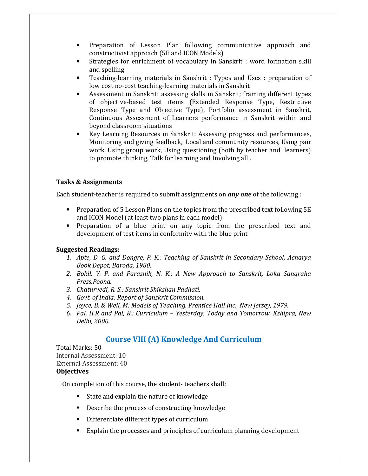- Preparation of Lesson Plan following communicative approach and constructivist approach (5E and ICON Models)
- Strategies for enrichment of vocabulary in Sanskrit : word formation skill and spelling
- Teaching-learning materials in Sanskrit : Types and Uses : preparation of low cost no-cost teaching-learning materials in Sanskrit
- Assessment in Sanskrit: assessing skills in Sanskrit; framing different types of objective-based test items (Extended Response Type, Restrictive Response Type and Objective Type), Portfolio assessment in Sanskrit, Continuous Assessment of Learners performance in Sanskrit within and beyond classroom situations
- Key Learning Resources in Sanskrit: Assessing progress and performances, Monitoring and giving feedback, Local and community resources, Using pair work, Using group work, Using questioning (both by teacher and learners) to promote thinking, Talk for learning and Involving all .

Each student-teacher is required to submit assignments on *any one* of the following :

- Preparation of 5 Lesson Plans on the topics from the prescribed text following 5E and ICON Model (at least two plans in each model)
- Preparation of a blue print on any topic from the prescribed text and development of test items in conformity with the blue print

#### Suggested Readings:

- 1. Apte, D. G. and Dongre, P. K.: Teaching of Sanskrit in Secondary School, Acharya Book Depot, Baroda, 1980.
- 2. Bokil, V. P. and Parasnik, N. K.: A New Approach to Sanskrit, Loka Sangraha Press,Poona.
- 3. Chaturvedi, R. S.: Sanskrit Shikshan Padhati.
- 4. Govt. of India: Report of Sanskrit Commission.
- 5. Joyce, B. & Weil, M: Models of Teaching. Prentice Hall Inc., New Jersey, 1979.
- 6. Pal, H.R and Pal, R.: Curriculum Yesterday, Today and Tomorrow. Kshipra, New Delhi, 2006.

# Course VIII (A) Knowledge And Curriculum

Total Marks: 50 Internal Assessment: 10 External Assessment: 40 **Objectives** 

On completion of this course, the student- teachers shall:

- State and explain the nature of knowledge
- **•** Describe the process of constructing knowledge
- Differentiate different types of curriculum
- Explain the processes and principles of curriculum planning development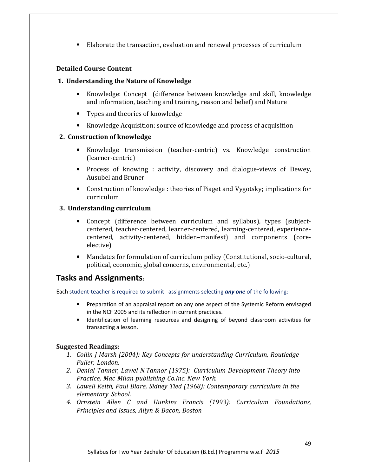- Elaborate the transaction, evaluation and renewal processes of curriculum

#### Detailed Course Content

#### 1. Understanding the Nature of Knowledge

- Knowledge: Concept (difference between knowledge and skill, knowledge and information, teaching and training, reason and belief) and Nature
- Types and theories of knowledge
- Knowledge Acquisition: source of knowledge and process of acquisition

#### 2. Construction of knowledge

- Knowledge transmission (teacher-centric) vs. Knowledge construction (learner-centric)
- Process of knowing : activity, discovery and dialogue-views of Dewey, Ausubel and Bruner
- Construction of knowledge : theories of Piaget and Vygotsky; implications for curriculum

#### 3. Understanding curriculum

- Concept (difference between curriculum and syllabus), types (subjectcentered, teacher-centered, learner-centered, learning-centered, experiencecentered, activity-centered, hidden–manifest) and components (coreelective)
- Mandates for formulation of curriculum policy (Constitutional, socio-cultural, political, economic, global concerns, environmental, etc.)

# Tasks and Assignments:

Each student-teacher is required to submit assignments selecting any one of the following:

- Preparation of an appraisal report on any one aspect of the Systemic Reform envisaged in the NCF 2005 and its reflection in current practices.
- Identification of learning resources and designing of beyond classroom activities for transacting a lesson.

#### Suggested Readings:

- 1. Collin J Marsh (2004): Key Concepts for understanding Curriculum, Routledge Fuller, London.
- 2. Denial Tanner, Lawel N.Tannor (1975): Curriculum Development Theory into Practice, Mac Milan publishing Co.Inc. New York.
- 3. Lawell Keith, Paul Blare, Sidney Tied (1968): Contemporary curriculum in the elementary School.
- 4. Ornstein Allen C and Hunkins Francis (1993): Curriculum Foundations, Principles and Issues, Allyn & Bacon, Boston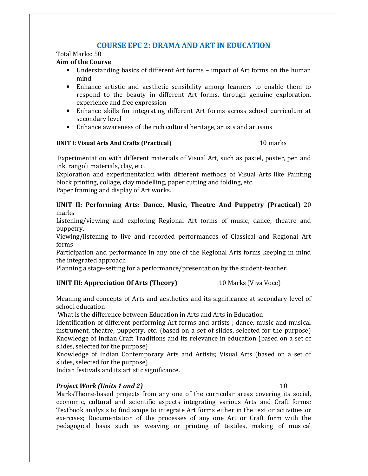# COURSE EPC 2: DRAMA AND ART IN EDUCATION

#### Total Marks: 50

#### Aim of the Course

- Understanding basics of different Art forms impact of Art forms on the human mind
- Enhance artistic and aesthetic sensibility among learners to enable them to respond to the beauty in different Art forms, through genuine exploration, experience and free expression
- Enhance skills for integrating different Art forms across school curriculum at secondary level
- Enhance awareness of the rich cultural heritage, artists and artisans

#### UNIT I: Visual Arts And Crafts (Practical) 10 marks

 Experimentation with different materials of Visual Art, such as pastel, poster, pen and ink, rangoli materials, clay, etc.

Exploration and experimentation with different methods of Visual Arts like Painting block printing, collage, clay modelling, paper cutting and folding, etc. Paper framing and display of Art works.

UNIT II: Performing Arts: Dance, Music, Theatre And Puppetry (Practical) 20 marks

Listening/viewing and exploring Regional Art forms of music, dance, theatre and puppetry.

Viewing/listening to live and recorded performances of Classical and Regional Art forms

Participation and performance in any one of the Regional Arts forms keeping in mind the integrated approach

Planning a stage-setting for a performance/presentation by the student-teacher.

### UNIT III: Appreciation Of Arts (Theory) 10 Marks (Viva Voce)

Meaning and concepts of Arts and aesthetics and its significance at secondary level of school education

What is the difference between Education in Arts and Arts in Education

Identification of different performing Art forms and artists ; dance, music and musical instrument, theatre, puppetry, etc. (based on a set of slides, selected for the purpose) Knowledge of Indian Craft Traditions and its relevance in education (based on a set of slides, selected for the purpose)

Knowledge of Indian Contemporary Arts and Artists; Visual Arts (based on a set of slides, selected for the purpose)

Indian festivals and its artistic significance.

### **Project Work (Units 1 and 2)** 10

MarksTheme-based projects from any one of the curricular areas covering its social, economic, cultural and scientific aspects integrating various Arts and Craft forms; Textbook analysis to find scope to integrate Art forms either in the text or activities or exercises; Documentation of the processes of any one Art or Craft form with the pedagogical basis such as weaving or printing of textiles, making of musical